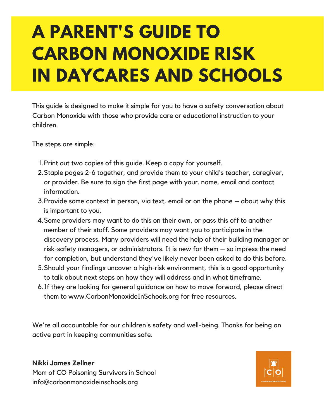# **A PARENT'S GUIDE TO CARBON MONOXIDE RISK IN DAYCARES AND SCHOOLS**

This guide is designed to make it simple for you to have a safety conversation about Carbon Monoxide with those who provide care or educational instruction to your children.

The steps are simple:

- 1. Print out two copies of this guide. Keep a copy for yourself.
- 2. Staple pages 2-6 together, and provide them to your child's teacher, caregiver, or provider. Be sure to sign the first page with your. name, email and contact information.
- 3. Provide some context in person, via text, email or on the phone about why this is important to you.
- 4. Some providers may want to do this on their own, or pass this off to another member of their staff. Some providers may want you to participate in the discovery process. Many providers will need the help of their building manager or risk-safety managers, or administrators. It is new for them – so impress the need for completion, but understand they've likely never been asked to do this before.
- Should your findings uncover a high-risk environment, this is a good opportunity 5. to talk about next steps on how they will address and in what timeframe.
- 6. If they are looking for general guidance on how to move forward, please direct them to www.CarbonMonoxideInSchools.org for free resources.

We're all accountable for our children's safety and well-being. Thanks for being an active part in keeping communities safe.

#### **Nikki James Zellner**

Mom of CO Poisoning Survivors in School info@carbonmonoxideinschools.org

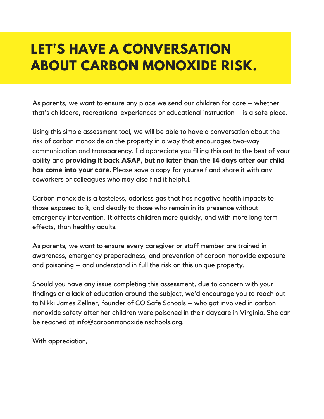# **LET'S HAVE A CONVERSATION ABOUT CARBON MONOXIDE RISK.**

As parents, we want to ensure any place we send our children for care – whether that's childcare, recreational experiences or educational instruction – is a safe place.

Using this simple assessment tool, we will be able to have a conversation about the risk of carbon monoxide on the property in a way that encourages two-way communication and transparency. I'd appreciate you filling this out to the best of your ability and **providing it back ASAP, but no later than the 14 days after our child has come into your care.** Please save a copy for yourself and share it with any coworkers or colleagues who may also find it helpful.

Carbon monoxide is a tasteless, odorless gas that has negative health impacts to those exposed to it, and deadly to those who remain in its presence without emergency intervention. It affects children more quickly, and with more long term effects, than healthy adults.

As parents, we want to ensure every caregiver or staff member are trained in awareness, emergency preparedness, and prevention of carbon monoxide exposure and poisoning – and understand in full the risk on this unique property.

Should you have any issue completing this assessment, due to concern with your findings or a lack of education around the subject, we'd encourage you to reach out to Nikki James Zellner, founder of CO Safe Schools – who got involved in carbon monoxide safety after her children were poisoned in their daycare in Virginia. She can be reached at info@carbonmonoxideinschools.org.

With appreciation,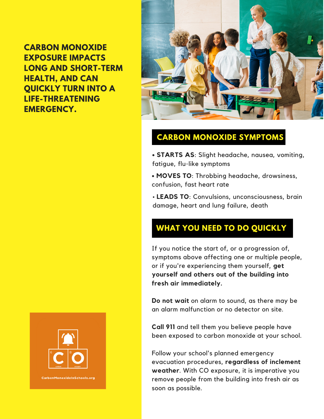**CARBON MONOXIDE EXPOSURE IMPACTS LONG AND SHORT-TERM HEALTH, AND CAN QUICKLY TURN INTO A LIFE-THREATENING EMERGENCY.**



# **CARBON MONOXIDE SYMPTOMS**

**• STARTS AS**: Slight headache, nausea, vomiting, fatigue, flu-like symptoms

**• MOVES TO**: Throbbing headache, drowsiness, confusion, fast heart rate

• **LEADS TO**: Convulsions, unconsciousness, brain damage, heart and lung failure, death

# **WHAT YOU NEED TO DO QUICKLY**

If you notice the start of, or a progression of, symptoms above affecting one or multiple people, or if you're experiencing them yourself, **get yourself and others out of the building into fresh air immediately.**

**Do not wait** on alarm to sound, as there may be an alarm malfunction or no detector on site.

**Call 911** and tell them you believe people have been exposed to carbon monoxide at your school.

Follow your school's planned emergency evacuation procedures, **regardless of inclement weather**. With CO exposure, it is imperative you remove people from the building into fresh air as soon as possible.

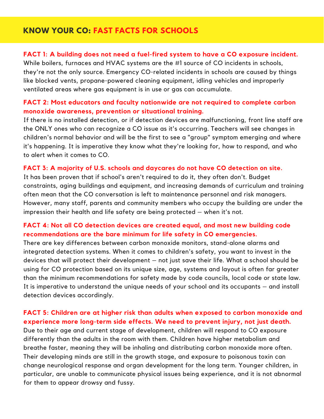## **KNOW YOUR CO: FAST FACTS FOR SCHOOLS**

#### **FACT 1: A building does not need a fuel-fired system to have a CO exposure incident.**

While boilers, furnaces and HVAC systems are the #1 source of CO incidents in schools, they're not the only source. Emergency CO-related incidents in schools are caused by things like blocked vents, propane-powered cleaning equipment, idling vehicles and improperly ventilated areas where gas equipment is in use or gas can accumulate.

#### **FACT 2: Most educators and faculty nationwide are not required to complete carbon monoxide awareness, prevention or situational training.**

If there is no installed detection, or if detection devices are malfunctioning, front line staff are the ONLY ones who can recognize a CO issue as it's occurring. Teachers will see changes in children's normal behavior and will be the first to see a "group" symptom emerging and where it's happening. It is imperative they know what they're looking for, how to respond, and who to alert when it comes to CO.

#### **FACT 3: A majority of U.S. schools and daycares do not have CO detection on site.**

It has been proven that if school's aren't required to do it, they often don't. Budget constraints, aging buildings and equipment, and increasing demands of curriculum and training often mean that the CO conversation is left to maintenance personnel and risk managers. However, many staff, parents and community members who occupy the building are under the impression their health and life safety are being protected – when it's not.

#### **FACT 4: Not all CO detection devices are created equal, and most new building code recommendations are the bare minimum for life safety in CO emergencies.**

There are key differences between carbon monoxide monitors, stand-alone alarms and integrated detection systems. When it comes to children's safety, you want to invest in the devices that will protect their development – not just save their life. What a school should be using for CO protection based on its unique size, age, systems and layout is often far greater than the minimum recommendations for safety made by code councils, local code or state law. It is imperative to understand the unique needs of your school and its occupants – and install detection devices accordingly.

#### **FACT 5: Children are at higher risk than adults when exposed to carbon monoxide and experience more long-term side effects. We need to prevent injury, not just death.**

Due to their age and current stage of development, children will respond to CO exposure differently than the adults in the room with them. Children have higher metabolism and breathe faster, meaning they will be inhaling and distributing carbon monoxide more often. Their developing minds are still in the growth stage, and exposure to poisonous toxin can change neurological response and organ development for the long term. Younger children, in particular, are unable to communicate physical issues being experience, and it is not abnormal for them to appear drowsy and fussy.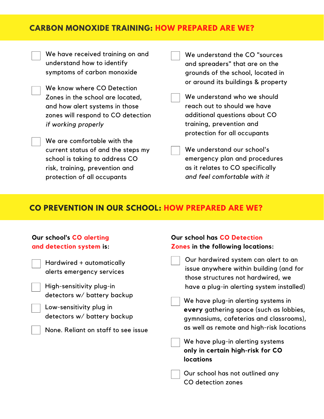### **CARBON MONOXIDE TRAINING: HOW PREPARED ARE WE?**

We have received training on and understand how to identify symptoms of carbon monoxide

We know where CO Detection Zones in the school are located, and how alert systems in those zones will respond to CO detection *if working properly*

We are comfortable with the current status of and the steps my school is taking to address CO risk, training, prevention and protection of all occupants

We understand the CO "sources and spreaders" that are on the grounds of the school, located in or around its buildings & property

We understand who we should reach out to should we have additional questions about CO training, prevention and protection for all occupants

We understand our school's emergency plan and procedures as it relates to CO specifically *and feel comfortable with it*

#### **CO PREVENTION IN OUR SCHOOL: HOW PREPARED ARE WE?**

| <b>Our school's CO alerting</b><br>and detection system is:                                                                                                                                                        | <b>Our school has CO Detection</b><br><b>Zones in the following locations:</b>                                                                                                                                                                                                                                                               |
|--------------------------------------------------------------------------------------------------------------------------------------------------------------------------------------------------------------------|----------------------------------------------------------------------------------------------------------------------------------------------------------------------------------------------------------------------------------------------------------------------------------------------------------------------------------------------|
| Hardwired + automatically<br>alerts emergency services<br>High-sensitivity plug-in<br>detectors w/ battery backup<br>Low-sensitivity plug in<br>detectors w/ battery backup<br>None. Reliant on staff to see issue | Our hardwired system can alert to an<br>issue anywhere within building (and for<br>those structures not hardwired, we<br>have a plug-in alerting system installed)<br>We have plug-in alerting systems in<br>every gathering space (such as lobbies,<br>gymnasiums, cafeterias and classrooms),<br>as well as remote and high-risk locations |
|                                                                                                                                                                                                                    | We have plug-in alerting systems<br>only in certain high-risk for CO<br><b>locations</b><br>Our school has not outlined any<br>CO detection zones                                                                                                                                                                                            |